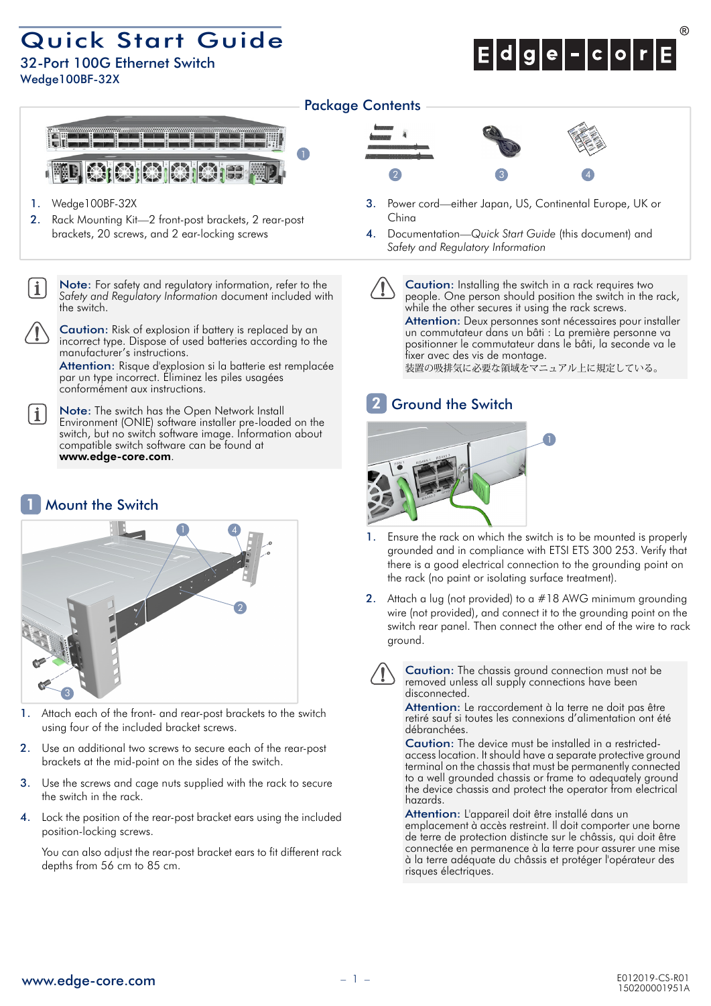## Quick Start Guide

32-Port 100G Ethernet Switch Wedge100BF-32X



## Package Contents



- 1. Wedge100BF-32X
- 2. Rack Mounting Kit—2 front-post brackets, 2 rear-post brackets, 20 screws, and 2 ear-locking screws

Note: For safety and regulatory information, refer to the *Safety and Regulatory Information* document included with the switch.

Caution: Risk of explosion if battery is replaced by an incorrect type. Dispose of used batteries according to the manufacturer's instructions.

Attention: Risque d'explosion si la batterie est remplacée par un type incorrect. Éliminez les piles usagées conformément aux instructions.

Note: The switch has the Open Network Install Environment (ONIE) software installer pre-loaded on the switch, but no switch software image. Information about compatible switch software can be found at www.edge-core.com.

#### Mount the Switch 1

 $\mathbf{i}$ 



- 1. Attach each of the front- and rear-post brackets to the switch using four of the included bracket screws.
- 2. Use an additional two screws to secure each of the rear-post brackets at the mid-point on the sides of the switch.
- 3. Use the screws and cage nuts supplied with the rack to secure the switch in the rack.
- 4. Lock the position of the rear-post bracket ears using the included position-locking screws.

You can also adjust the rear-post bracket ears to fit different rack depths from 56 cm to 85 cm.



- 3. Power cord—either Japan, US, Continental Europe, UK or China
- 4. Documentation—*Quick Start Guide* (this document) and *Safety and Regulatory Information*

Caution: Installing the switch in a rack requires two people. One person should position the switch in the rack, while the other secures it using the rack screws. Attention: Deux personnes sont nécessaires pour installer un commutateur dans un bâti : La première personne va positionner le commutateur dans le bâti, la seconde va le fixer avec des vis de montage. 装置の吸排気に必要な領域をマニュアル上に規定している。

#### Ground the Switch 2



- 1. Ensure the rack on which the switch is to be mounted is properly grounded and in compliance with ETSI ETS 300 253. Verify that there is a good electrical connection to the grounding point on the rack (no paint or isolating surface treatment).
- 2. Attach a lug (not provided) to a #18 AWG minimum grounding wire (not provided), and connect it to the grounding point on the switch rear panel. Then connect the other end of the wire to rack ground.

Caution: The chassis ground connection must not be removed unless all supply connections have been disconnected.

Attention: Le raccordement à la terre ne doit pas être retiré sauf si toutes les connexions d'alimentation ont été débranchées.

Caution: The device must be installed in a restrictedaccess location. It should have a separate protective ground terminal on the chassis that must be permanently connected to a well grounded chassis or frame to adequately ground the device chassis and protect the operator from electrical hazards.

Attention: L'appareil doit être installé dans un emplacement à accès restreint. Il doit comporter une borne de terre de protection distincte sur le châssis, qui doit être connectée en permanence à la terre pour assurer une mise à la terre adéquate du châssis et protéger l'opérateur des risques électriques.

www.edge-core.com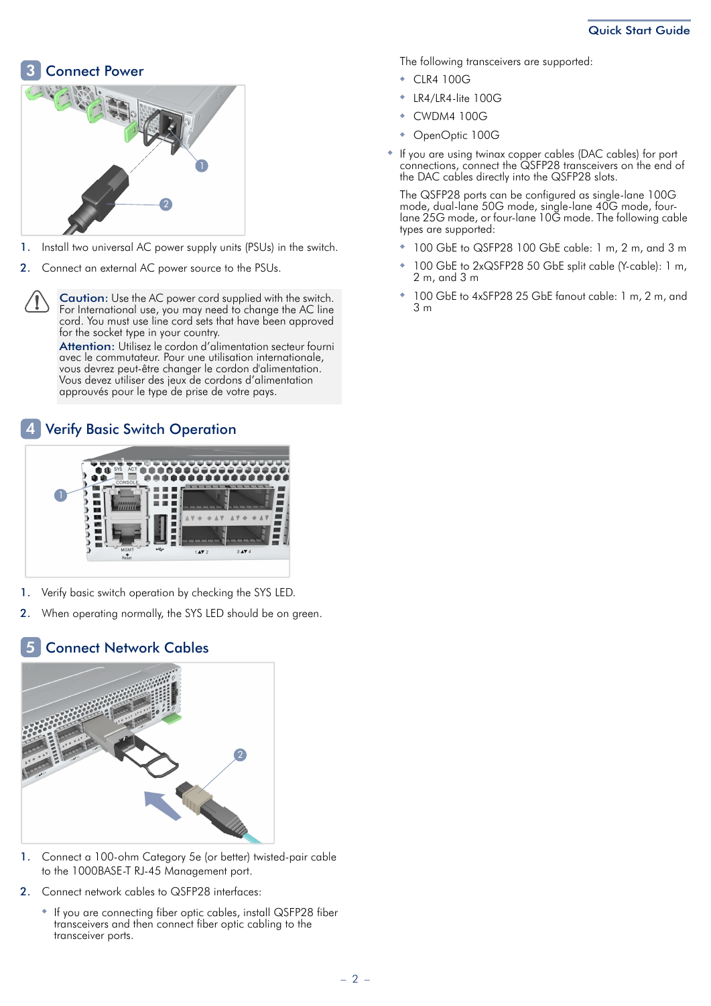#### Connect Power 3



- 1. Install two universal AC power supply units (PSUs) in the switch.
- 2. Connect an external AC power source to the PSUs.

Caution: Use the AC power cord supplied with the switch. For International use, you may need to change the AC line cord. You must use line cord sets that have been approved for the socket type in your country.

Attention: Utilisez le cordon d'alimentation secteur fourni avec le commutateur. Pour une utilisation internationale, vous devrez peut-être changer le cordon d'alimentation. Vous devez utiliser des jeux de cordons d'alimentation approuvés pour le type de prise de votre pays.

#### Verify Basic Switch Operation 4



- 1. Verify basic switch operation by checking the SYS LED.
- 2. When operating normally, the SYS LED should be on green.

### Connect Network Cables 5



- 1. Connect a 100-ohm Category 5e (or better) twisted-pair cable to the 1000BASE-T RJ-45 Management port.
- 2. Connect network cables to QSFP28 interfaces:
	- ◆ If you are connecting fiber optic cables, install QSFP28 fiber transceivers and then connect fiber optic cabling to the transceiver ports.

The following transceivers are supported:

- CLR4 100G
- ◆ LR4/LR4-lite 100G
- ◆ CWDM4 100G
- ◆ OpenOptic 100G
- ◆ If you are using twinax copper cables (DAC cables) for port connections, connect the QSFP28 transceivers on the end of the DAC cables directly into the QSFP28 slots.

The QSFP28 ports can be configured as single-lane 100G mode, dual-lane 50G mode, single-lane 40G mode, fourlane 25G mode, or four-lane 10G mode. The following cable types are supported:

- ◆ 100 GbE to QSFP28 100 GbE cable: 1 m, 2 m, and 3 m
- ◆ 100 GbE to 2xQSFP28 50 GbE split cable (Y-cable): 1 m, 2 m, and 3 m
- 100 GbE to 4xSFP28 25 GbE fanout cable: 1 m, 2 m, and 3 m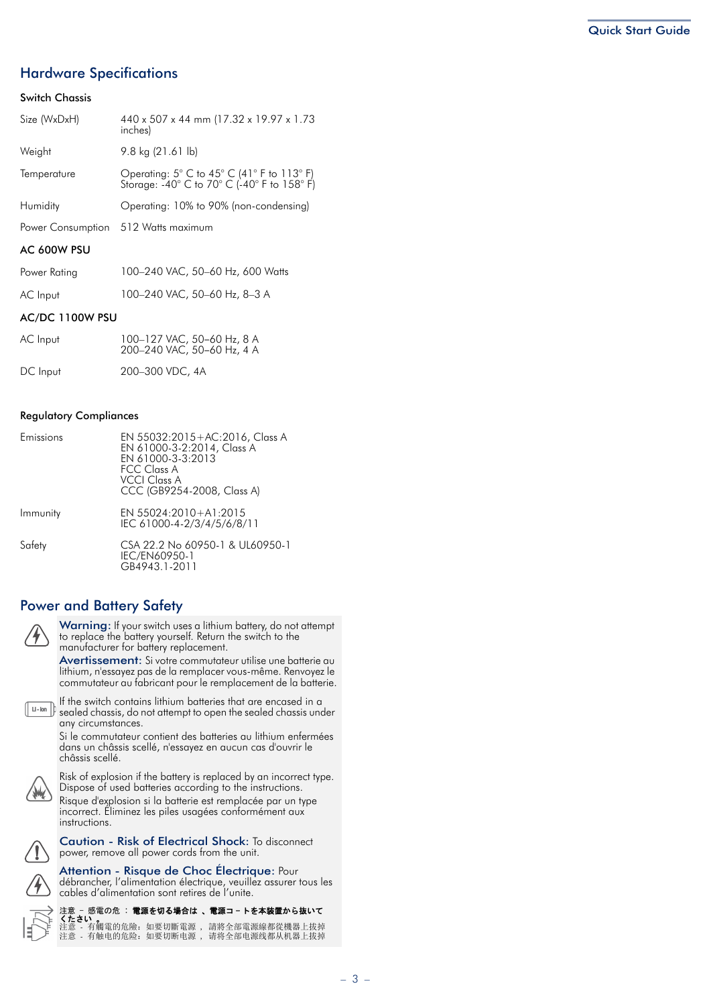## Hardware Specifications

## Switch Chassis

| Size (WxDxH)    | 440 x 507 x 44 mm (17.32 x 19.97 x 1.73<br>inches)                                                                              |  |  |  |
|-----------------|---------------------------------------------------------------------------------------------------------------------------------|--|--|--|
| Weight          | $9.8 \text{ kg} (21.61 \text{ lb})$                                                                                             |  |  |  |
| Temperature     | Operating: $5^{\circ}$ C to $45^{\circ}$ C (41 $^{\circ}$ F to 113 $^{\circ}$ F)<br>Storage: -40° C to 70° C (-40° F to 158° F) |  |  |  |
| Humidity        | Operating: 10% to 90% (non-condensing)                                                                                          |  |  |  |
|                 | Power Consumption 512 Watts maximum                                                                                             |  |  |  |
| AC 600W PSU     |                                                                                                                                 |  |  |  |
| Power Rating    | 100-240 VAC, 50-60 Hz, 600 Watts                                                                                                |  |  |  |
| AC Input        | 100-240 VAC, 50-60 Hz, 8-3 A                                                                                                    |  |  |  |
| AC/DC 1100W PSU |                                                                                                                                 |  |  |  |
| AC Input        | 100-127 VAC, 50-60 Hz, 8 A                                                                                                      |  |  |  |

| $\sim$ $\sim$ $\sim$ $\sim$ | $100 - 127 - 17107 - 00001127 - 0711$<br>200-240 VAC, 50-60 Hz, 4 A |
|-----------------------------|---------------------------------------------------------------------|
| DC Input                    | 200-300 VDC, 4A                                                     |

## Regulatory Compliances

| Emissions | EN 55032:2015+AC:2016, Class A<br>EN 61000-3-2:2014, Class A<br>EN 61000-3-3:2013<br><b>FCC Class A</b><br><b>VCCI Class A</b><br>CCC (GB9254-2008, Class A) |
|-----------|--------------------------------------------------------------------------------------------------------------------------------------------------------------|
| Immunity  | EN 55024:2010+A1:2015<br>IEC 61000-4-2/3/4/5/6/8/11                                                                                                          |
| Safety    | CSA 22.2 No 60950-1 & UL60950-1<br>IEC/EN60950-1<br>GB4943.1-2011                                                                                            |

## Power and Battery Safety



Warning: If your switch uses a lithium battery, do not attempt to replace the battery yourself. Return the switch to the manufacturer for battery replacement.

Avertissement: Si votre commutateur utilise une batterie au lithium, n'essayez pas de la remplacer vous-même. Renvoyez le commutateur au fabricant pour le remplacement de la batterie.



If the switch contains lithium batteries that are encased in a sealed chassis, do not attempt to open the sealed chassis under any circumstances.

Si le commutateur contient des batteries au lithium enfermées dans un châssis scellé, n'essayez en aucun cas d'ouvrir le châssis scellé.

Risk of explosion if the battery is replaced by an incorrect type. Dispose of used batteries according to the instructions.

Risque d'explosion si la batterie est remplacée par un type incorrect. Éliminez les piles usagées conformément aux instructions.

Caution - Risk of Electrical Shock: To disconnect power, remove all power cords from the unit.

Attention - Risque de Choc Électrique: Pour débrancher, l'alimentation électrique, veuillez assurer tous les cables d'alimentation sont retires de l'unite.



注意 - 感電の危 : **電源を切る場合は 、電源コ - トを本装置から抜いて**<br>くたさい<br>注意 - 有觸電的危險: 如要切斷電源 , 請將全部電源線都從機器上拔掉

| ------- | 注意 - 有觸電的危險: 如要切斷電源 . |  | 請將全部電源線都從機器上拔掉                     |
|---------|-----------------------|--|------------------------------------|
|         |                       |  | 注意 - 有触电的危险:如要切断电源 、请将全部电源线都从机器上拔掉 |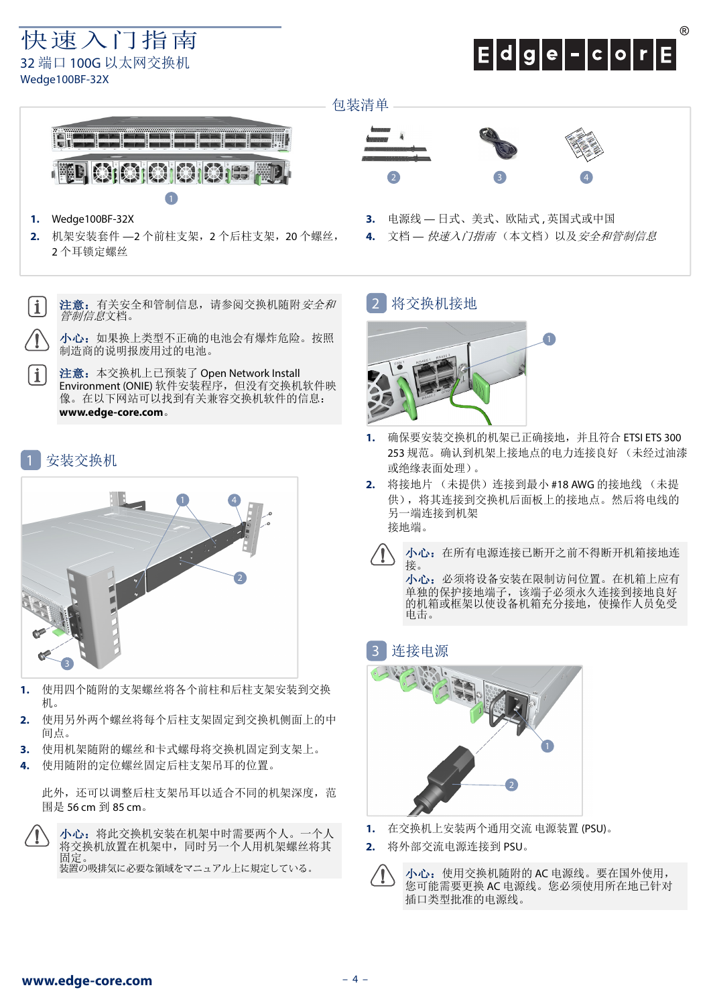快速入门指南 32 端口 100G 以太网交换机 Wedge100BF-32X

# $E|d|g|e|-|c|o|r|E$

## 包装清单



- **1.** Wedge100BF-32X
- **2.** 机架安装套件 —2 个前柱支架,2 个后柱支架,20 个螺丝, 2 个耳锁定螺丝
- $\mathbf{1}$ 注意: 有关安全和管制信息, 请参阅交换机随附*安全和 管制信息*文档。

小心: 如果换上类型不正确的电池会有爆炸危险。按照 制造商的说明报废用过的电池。

注意:本交换机上已预装了 Open Network Install Environment (ONIE) 软件安装程序, 但没有交换机软件映 像。在以下网站可以找到有关兼容交换机软件的信息: **www.edge-core.com**。

## 安装交换机

 $\mathbf{i}$ 



- **1.** 使用四个随附的支架螺丝将各个前柱和后柱支架安装到交换 机。
- **2.** 使用另外两个螺丝将每个后柱支架固定到交换机侧面上的中 间点。
- **3.** 使用机架随附的螺丝和卡式螺母将交换机固定到支架上。
- **4.** 使用随附的定位螺丝固定后柱支架吊耳的位置。

此外,还可以调整后柱支架吊耳以适合不同的机架深度,范 围是 56 cm 到 85 cm。

小心:将此交换机安装在机架中时需要两个人。一个人 将交换机放置在机架中,同时另一个人用机架螺丝将其 固定。 装置の吸排気に必要な領域をマニュアル上に規定している。



- **3.** 电源线 日式、美式、欧陆式 , 英国式或中国
- **4.** 文档 快速入门指南 (本文档)以及安全和管制信息

#### 将交换机接地 2



- **1.** 确保要安装交换机的机架已正确接地,并且符合 ETSI ETS 300 253 规范。确认到机架上接地点的电力连接良好 (未经过油漆 或绝缘表面处理)。
- **2.** 将接地片 (未提供)连接到最小 #18 AWG 的接地线 (未提 供),将其连接到交换机后面板上的接地点。然后将电线的 另一端连接到机架 接地端。
	- 小心: 在所有电源连接已断开之前不得断开机箱接地连 接。 小心:必须将设备安装在限制访问位置。在机箱上应有

单独的保护接地端子,该端子必须永久连接到接地良好 的机箱或框架以使设备机箱充分接地,使操作人员免受 电击。

#### 连接电源 3



- **1.** 在交换机上安装两个通用交流 电源装置 (PSU)。
- **2.** 将外部交流电源连接到 PSU。



小心:使用交换机随附的 AC 电源线。要在国外使用, 您可能需要更换 AC 电源线。您必须使用所在地已针对 插口类型批准的电源线。